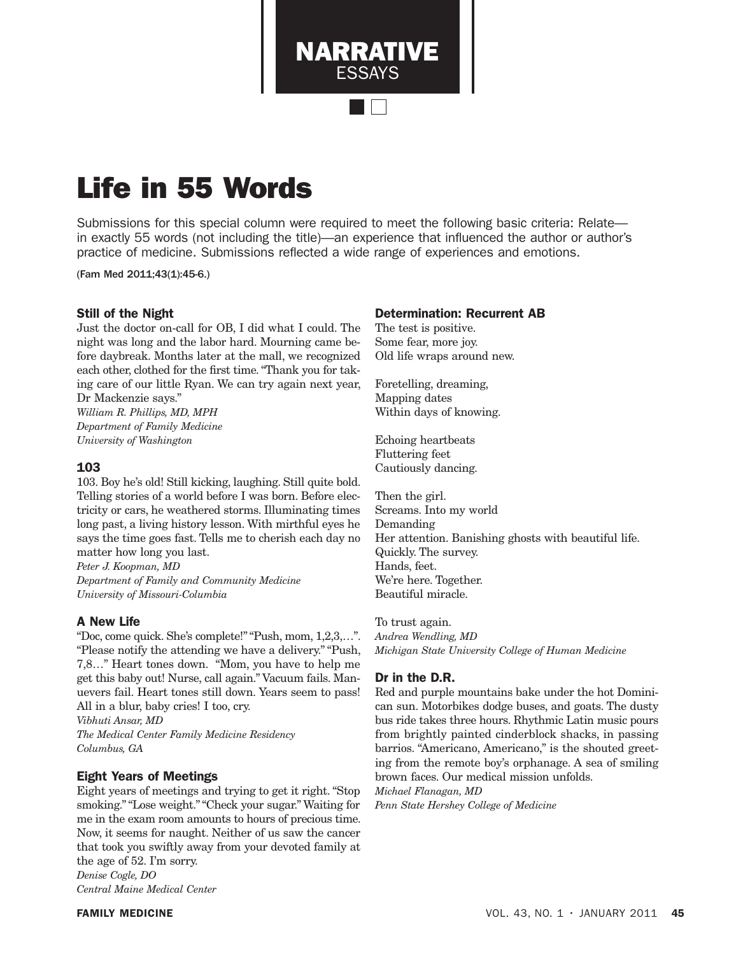Life in 55 Words

Submissions for this special column were required to meet the following basic criteria: Relate in exactly 55 words (not including the title)—an experience that influenced the author or author's practice of medicine. Submissions reflected a wide range of experiences and emotions.

NARRATIVE **ESSAYS** 

(Fam Med 2011;43(1):45-6.)

### Still of the Night

Just the doctor on-call for OB, I did what I could. The night was long and the labor hard. Mourning came before daybreak. Months later at the mall, we recognized each other, clothed for the first time. "Thank you for taking care of our little Ryan. We can try again next year, Dr Mackenzie says."

*William R. Phillips, MD, MPH Department of Family Medicine University of Washington*

#### 103

103. Boy he's old! Still kicking, laughing. Still quite bold. Telling stories of a world before I was born. Before electricity or cars, he weathered storms. Illuminating times long past, a living history lesson. With mirthful eyes he says the time goes fast. Tells me to cherish each day no matter how long you last.

*Peter J. Koopman, MD Department of Family and Community Medicine University of Missouri-Columbia*

## A New Life

"Doc, come quick. She's complete!" "Push, mom, 1,2,3,…". "Please notify the attending we have a delivery." "Push, 7,8…" Heart tones down. "Mom, you have to help me get this baby out! Nurse, call again." Vacuum fails. Manuevers fail. Heart tones still down. Years seem to pass! All in a blur, baby cries! I too, cry.

*Vibhuti Ansar, MD The Medical Center Family Medicine Residency Columbus, GA*

## Eight Years of Meetings

Eight years of meetings and trying to get it right. "Stop smoking." "Lose weight." "Check your sugar." Waiting for me in the exam room amounts to hours of precious time. Now, it seems for naught. Neither of us saw the cancer that took you swiftly away from your devoted family at the age of 52. I'm sorry.

*Denise Cogle, DO Central Maine Medical Center*

#### Determination: Recurrent AB

The test is positive. Some fear, more joy. Old life wraps around new.

Foretelling, dreaming, Mapping dates Within days of knowing.

Echoing heartbeats Fluttering feet Cautiously dancing.

Then the girl. Screams. Into my world Demanding Her attention. Banishing ghosts with beautiful life. Quickly. The survey. Hands, feet. We're here. Together. Beautiful miracle.

To trust again. *Andrea Wendling, MD Michigan State University College of Human Medicine*

## Dr in the D.R.

Red and purple mountains bake under the hot Dominican sun. Motorbikes dodge buses, and goats. The dusty bus ride takes three hours. Rhythmic Latin music pours from brightly painted cinderblock shacks, in passing barrios. "Americano, Americano," is the shouted greeting from the remote boy's orphanage. A sea of smiling brown faces. Our medical mission unfolds.

*Michael Flanagan, MD*

*Penn State Hershey College of Medicine*